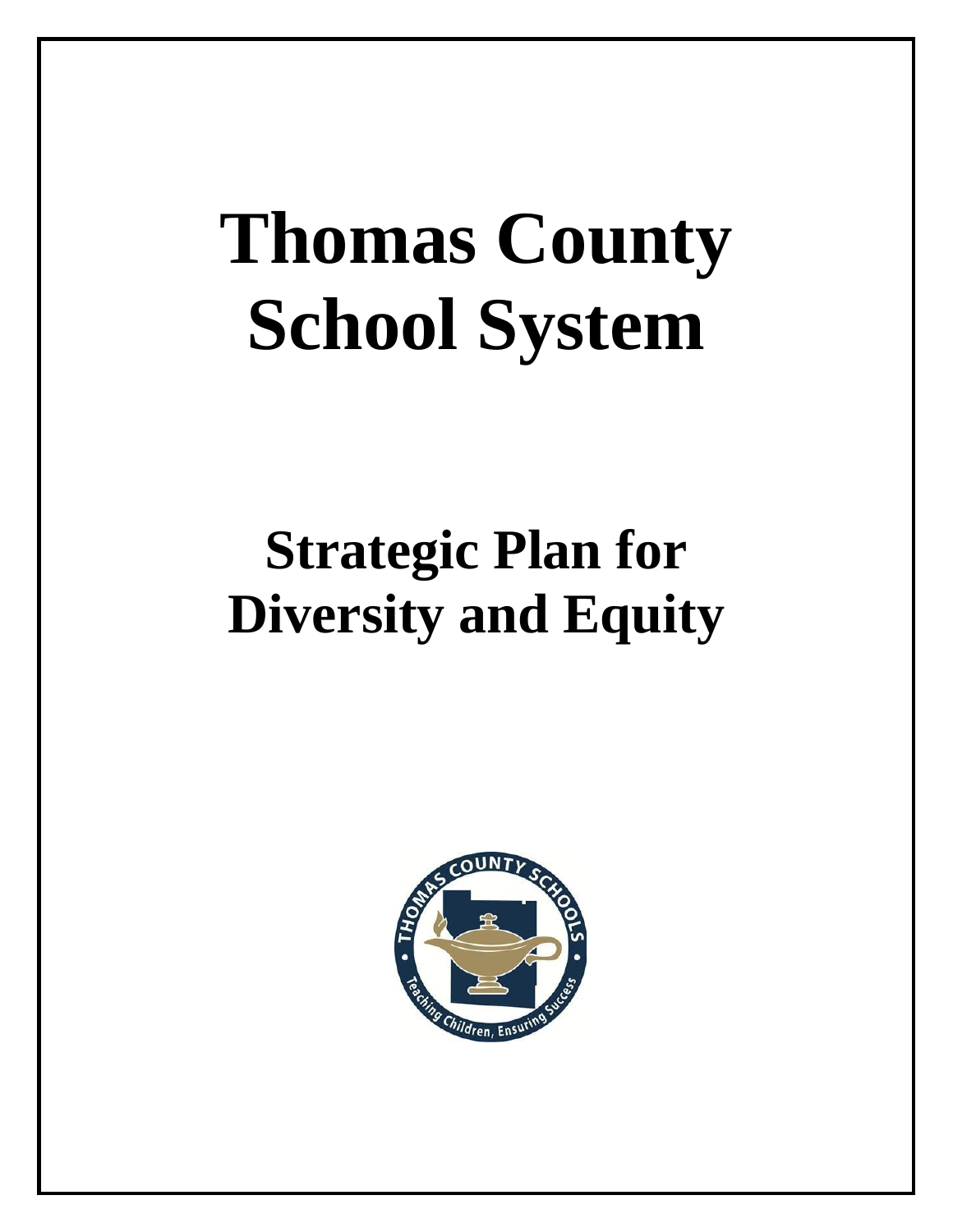# **Thomas County School System**

# **Strategic Plan for Diversity and Equity**

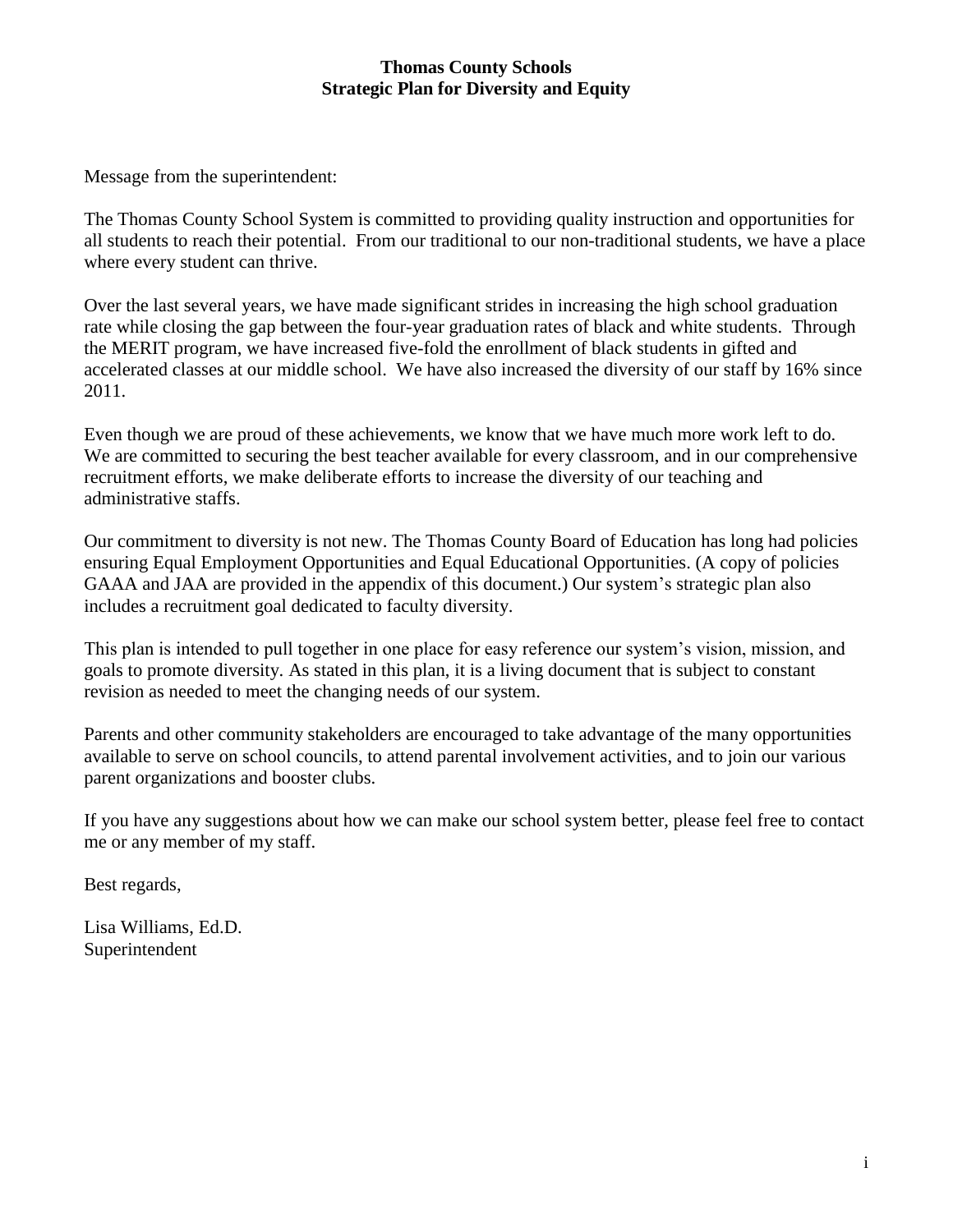Message from the superintendent:

The Thomas County School System is committed to providing quality instruction and opportunities for all students to reach their potential. From our traditional to our non-traditional students, we have a place where every student can thrive.

Over the last several years, we have made significant strides in increasing the high school graduation rate while closing the gap between the four-year graduation rates of black and white students. Through the MERIT program, we have increased five-fold the enrollment of black students in gifted and accelerated classes at our middle school. We have also increased the diversity of our staff by 16% since 2011.

Even though we are proud of these achievements, we know that we have much more work left to do. We are committed to securing the best teacher available for every classroom, and in our comprehensive recruitment efforts, we make deliberate efforts to increase the diversity of our teaching and administrative staffs.

Our commitment to diversity is not new. The Thomas County Board of Education has long had policies ensuring Equal Employment Opportunities and Equal Educational Opportunities. (A copy of policies GAAA and JAA are provided in the appendix of this document.) Our system's strategic plan also includes a recruitment goal dedicated to faculty diversity.

This plan is intended to pull together in one place for easy reference our system's vision, mission, and goals to promote diversity. As stated in this plan, it is a living document that is subject to constant revision as needed to meet the changing needs of our system.

Parents and other community stakeholders are encouraged to take advantage of the many opportunities available to serve on school councils, to attend parental involvement activities, and to join our various parent organizations and booster clubs.

If you have any suggestions about how we can make our school system better, please feel free to contact me or any member of my staff.

Best regards,

Lisa Williams, Ed.D. Superintendent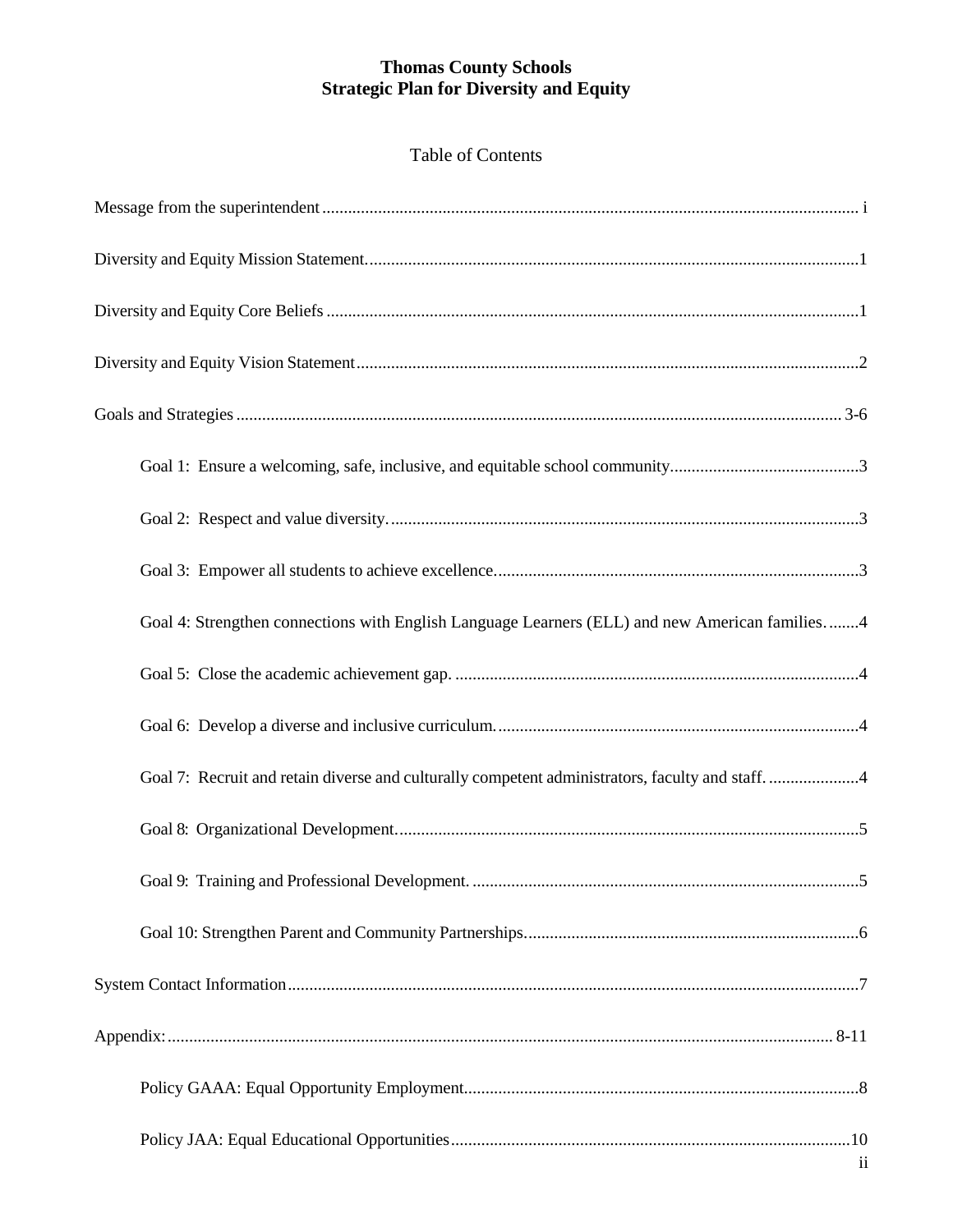| Goal 4: Strengthen connections with English Language Learners (ELL) and new American families4   |
|--------------------------------------------------------------------------------------------------|
|                                                                                                  |
|                                                                                                  |
| Goal 7: Recruit and retain diverse and culturally competent administrators, faculty and staff. 4 |
|                                                                                                  |
|                                                                                                  |
|                                                                                                  |
|                                                                                                  |
|                                                                                                  |
|                                                                                                  |
| $\overline{\mathbf{u}}$                                                                          |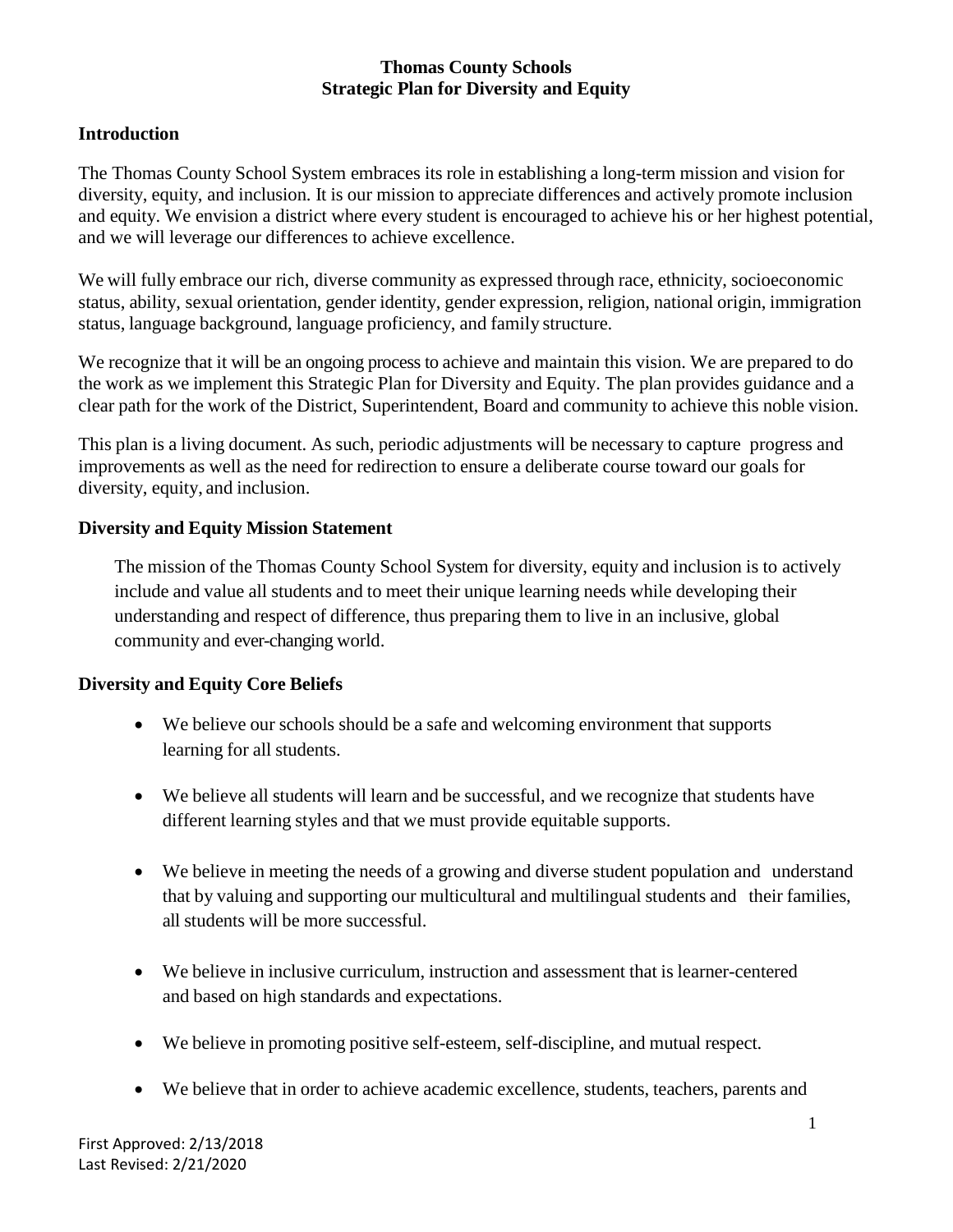#### **Introduction**

The Thomas County School System embraces its role in establishing a long-term mission and vision for diversity, equity, and inclusion. It is our mission to appreciate differences and actively promote inclusion and equity. We envision a district where every student is encouraged to achieve his or her highest potential, and we will leverage our differences to achieve excellence.

We will fully embrace our rich, diverse community as expressed through race, ethnicity, socioeconomic status, ability, sexual orientation, gender identity, gender expression, religion, national origin, immigration status, language background, language proficiency, and family structure.

We recognize that it will be an ongoing process to achieve and maintain this vision. We are prepared to do the work as we implement this Strategic Plan for Diversity and Equity. The plan provides guidance and a clear path for the work of the District, Superintendent, Board and community to achieve this noble vision.

This plan is a living document. As such, periodic adjustments will be necessary to capture progress and improvements as well as the need for redirection to ensure a deliberate course toward our goals for diversity, equity, and inclusion.

#### **Diversity and Equity Mission Statement**

The mission of the Thomas County School System for diversity, equity and inclusion is to actively include and value all students and to meet their unique learning needs while developing their understanding and respect of difference, thus preparing them to live in an inclusive, global community and ever-changing world.

# **Diversity and Equity Core Beliefs**

- We believe our schools should be a safe and welcoming environment that supports learning for all students.
- We believe all students will learn and be successful, and we recognize that students have different learning styles and that we must provide equitable supports.
- We believe in meeting the needs of a growing and diverse student population and understand that by valuing and supporting our multicultural and multilingual students and their families, all students will be more successful.
- We believe in inclusive curriculum, instruction and assessment that is learner-centered and based on high standards and expectations.
- We believe in promoting positive self-esteem, self-discipline, and mutual respect.
- We believe that in order to achieve academic excellence, students, teachers, parents and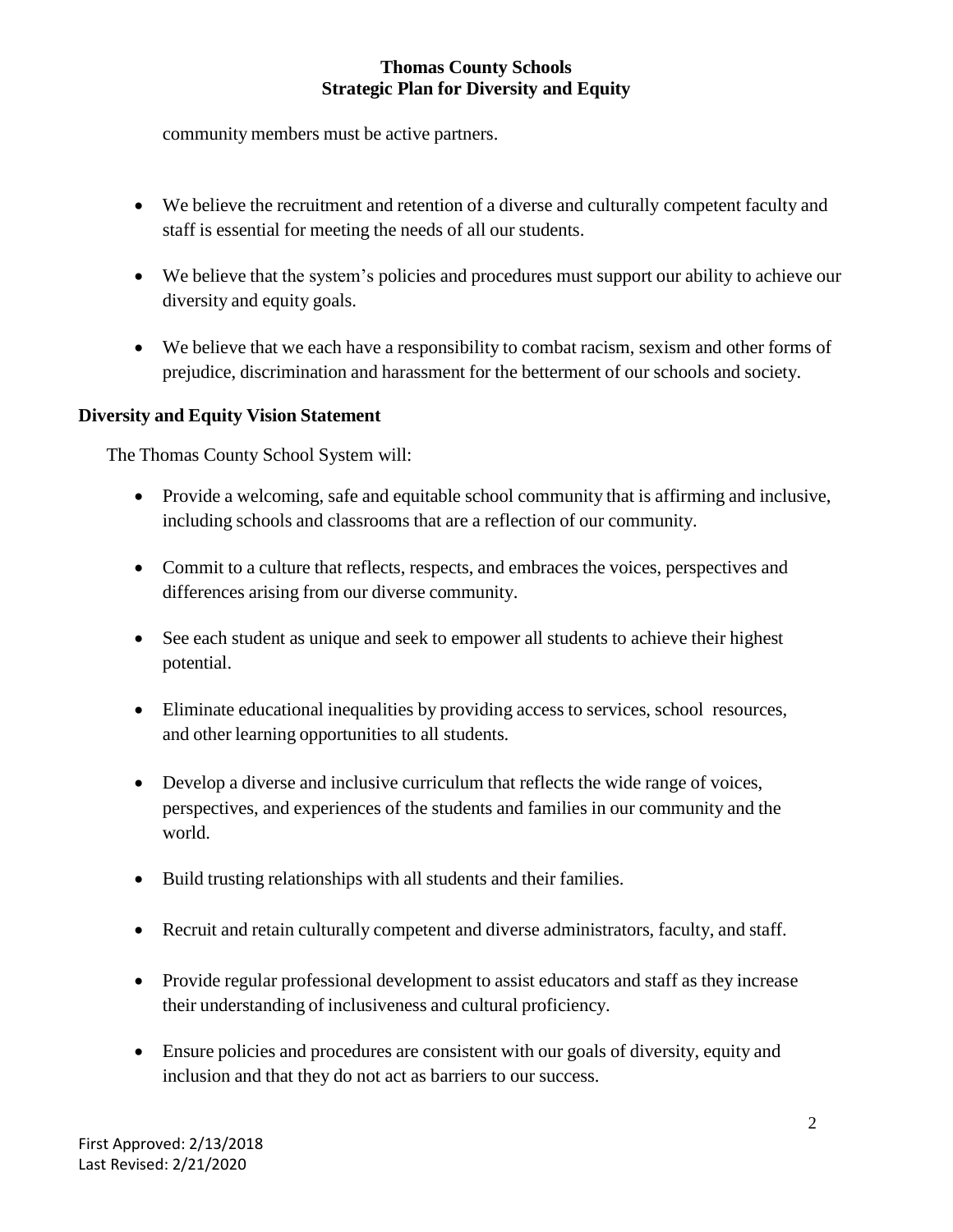community members must be active partners.

- We believe the recruitment and retention of a diverse and culturally competent faculty and staff is essential for meeting the needs of all our students.
- We believe that the system's policies and procedures must support our ability to achieve our diversity and equity goals.
- We believe that we each have a responsibility to combat racism, sexism and other forms of prejudice, discrimination and harassment for the betterment of our schools and society.

#### **Diversity and Equity Vision Statement**

The Thomas County School System will:

- Provide a welcoming, safe and equitable school community that is affirming and inclusive, including schools and classrooms that are a reflection of our community.
- Commit to a culture that reflects, respects, and embraces the voices, perspectives and differences arising from our diverse community.
- See each student as unique and seek to empower all students to achieve their highest potential.
- Eliminate educational inequalities by providing access to services, school resources, and other learning opportunities to all students.
- Develop a diverse and inclusive curriculum that reflects the wide range of voices, perspectives, and experiences of the students and families in our community and the world.
- Build trusting relationships with all students and their families.
- Recruit and retain culturally competent and diverse administrators, faculty, and staff.
- Provide regular professional development to assist educators and staff as they increase their understanding of inclusiveness and cultural proficiency.
- Ensure policies and procedures are consistent with our goals of diversity, equity and inclusion and that they do not act as barriers to our success.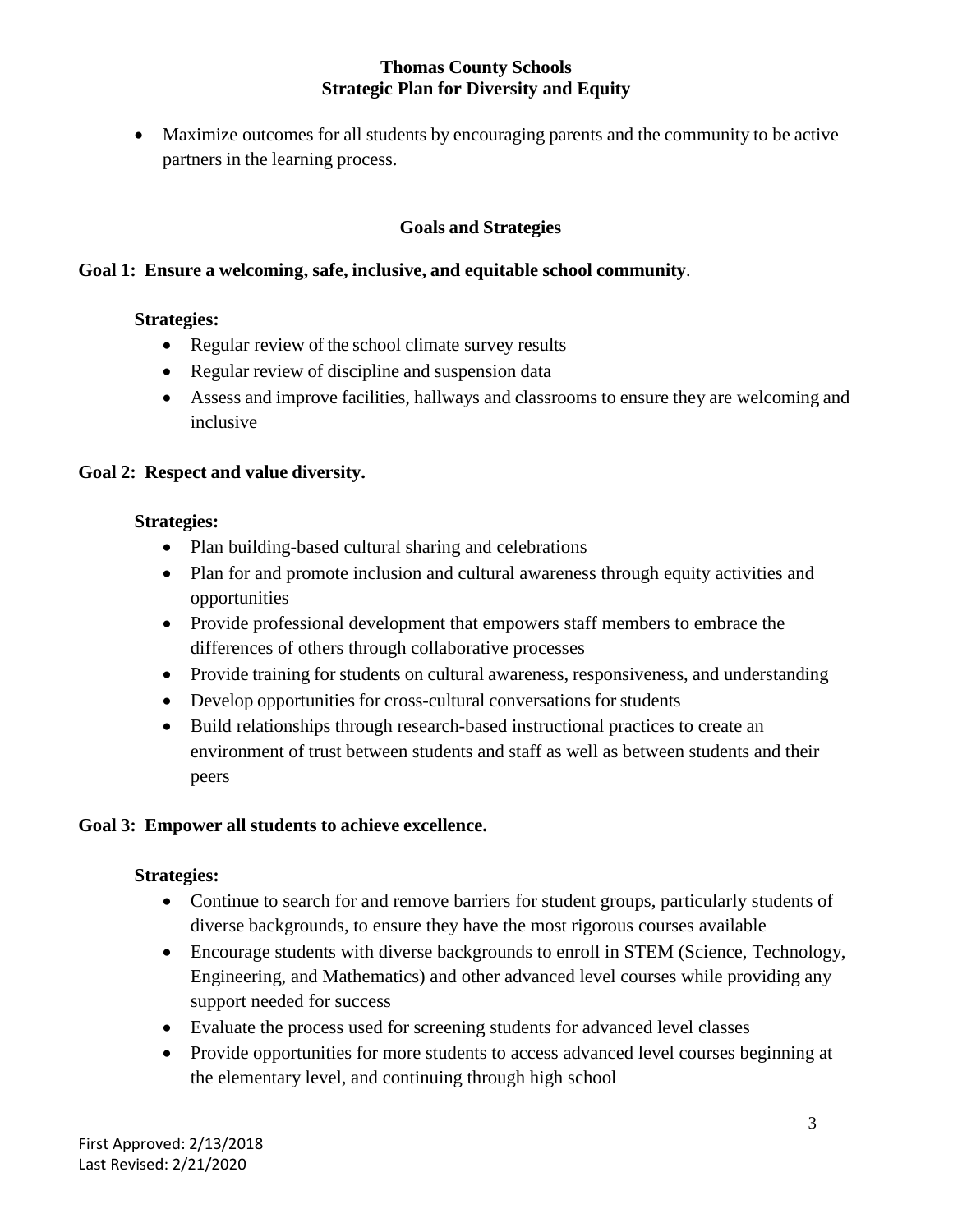Maximize outcomes for all students by encouraging parents and the community to be active partners in the learning process.

### **Goals and Strategies**

#### **Goal 1: Ensure a welcoming, safe, inclusive, and equitable school community**.

#### **Strategies:**

- Regular review of the school climate survey results
- Regular review of discipline and suspension data
- Assess and improve facilities, hallways and classrooms to ensure they are welcoming and inclusive

#### **Goal 2: Respect and value diversity.**

#### **Strategies:**

- Plan building-based cultural sharing and celebrations
- Plan for and promote inclusion and cultural awareness through equity activities and opportunities
- Provide professional development that empowers staff members to embrace the differences of others through collaborative processes
- Provide training for students on cultural awareness, responsiveness, and understanding
- Develop opportunities for cross-cultural conversations for students
- Build relationships through research-based instructional practices to create an environment of trust between students and staff as well as between students and their peers

#### **Goal 3: Empower all students to achieve excellence.**

#### **Strategies:**

- Continue to search for and remove barriers for student groups, particularly students of diverse backgrounds, to ensure they have the most rigorous courses available
- Encourage students with diverse backgrounds to enroll in STEM (Science, Technology, Engineering, and Mathematics) and other advanced level courses while providing any support needed for success
- Evaluate the process used for screening students for advanced level classes
- Provide opportunities for more students to access advanced level courses beginning at the elementary level, and continuing through high school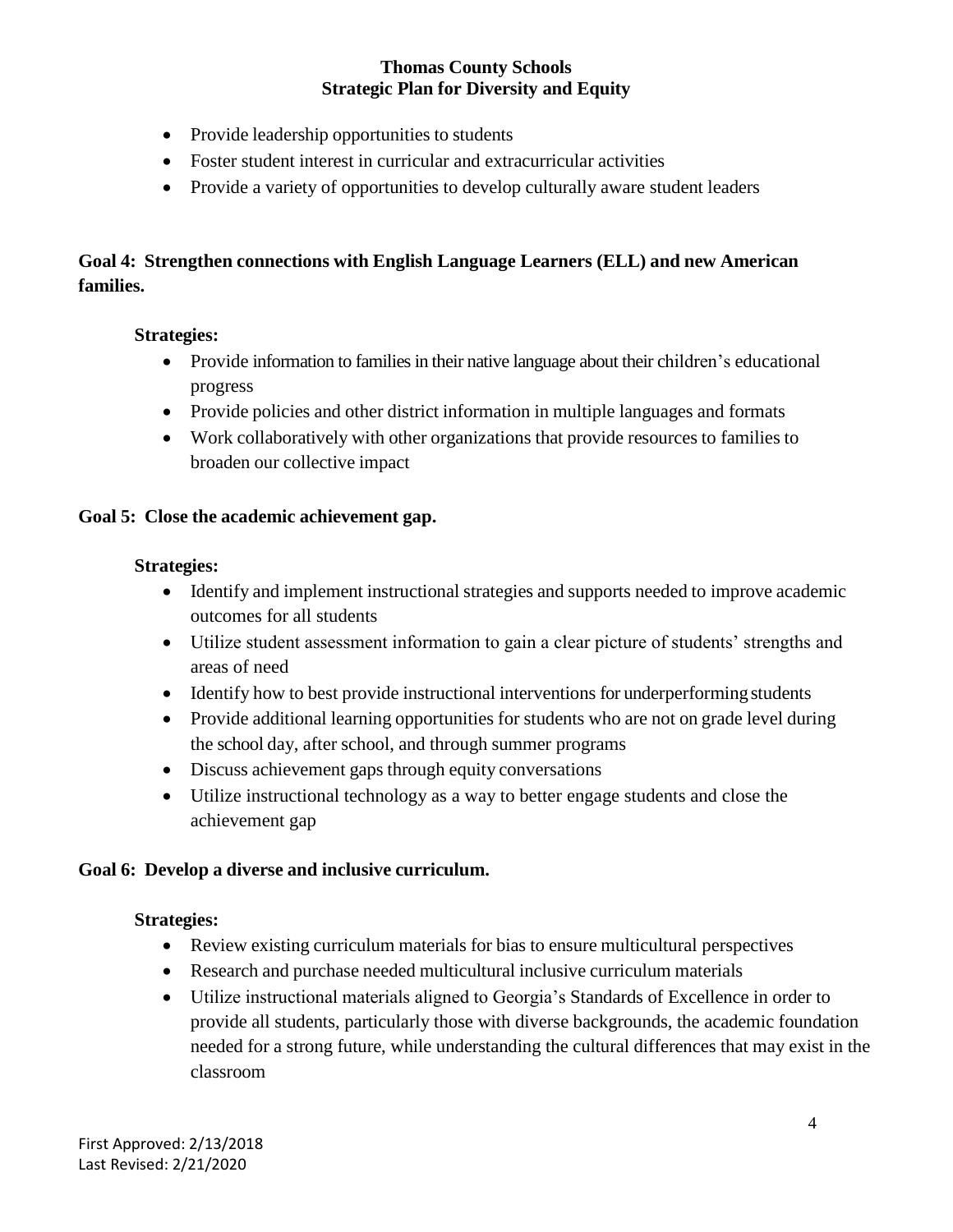- Provide leadership opportunities to students
- Foster student interest in curricular and extracurricular activities
- Provide a variety of opportunities to develop culturally aware student leaders

# **Goal 4: Strengthen connections with English Language Learners (ELL) and new American families.**

#### **Strategies:**

- Provide information to families in their native language about their children's educational progress
- Provide policies and other district information in multiple languages and formats
- Work collaboratively with other organizations that provide resources to families to broaden our collective impact

#### **Goal 5: Close the academic achievement gap.**

#### **Strategies:**

- Identify and implement instructional strategies and supports needed to improve academic outcomes for all students
- Utilize student assessment information to gain a clear picture of students' strengths and areas of need
- Identify how to best provide instructional interventions for underperforming students
- Provide additional learning opportunities for students who are not on grade level during the school day, after school, and through summer programs
- Discuss achievement gaps through equity conversations
- Utilize instructional technology as a way to better engage students and close the achievement gap

#### **Goal 6: Develop a diverse and inclusive curriculum.**

#### **Strategies:**

- Review existing curriculum materials for bias to ensure multicultural perspectives
- Research and purchase needed multicultural inclusive curriculum materials
- Utilize instructional materials aligned to Georgia's Standards of Excellence in order to provide all students, particularly those with diverse backgrounds, the academic foundation needed for a strong future, while understanding the cultural differences that may exist in the classroom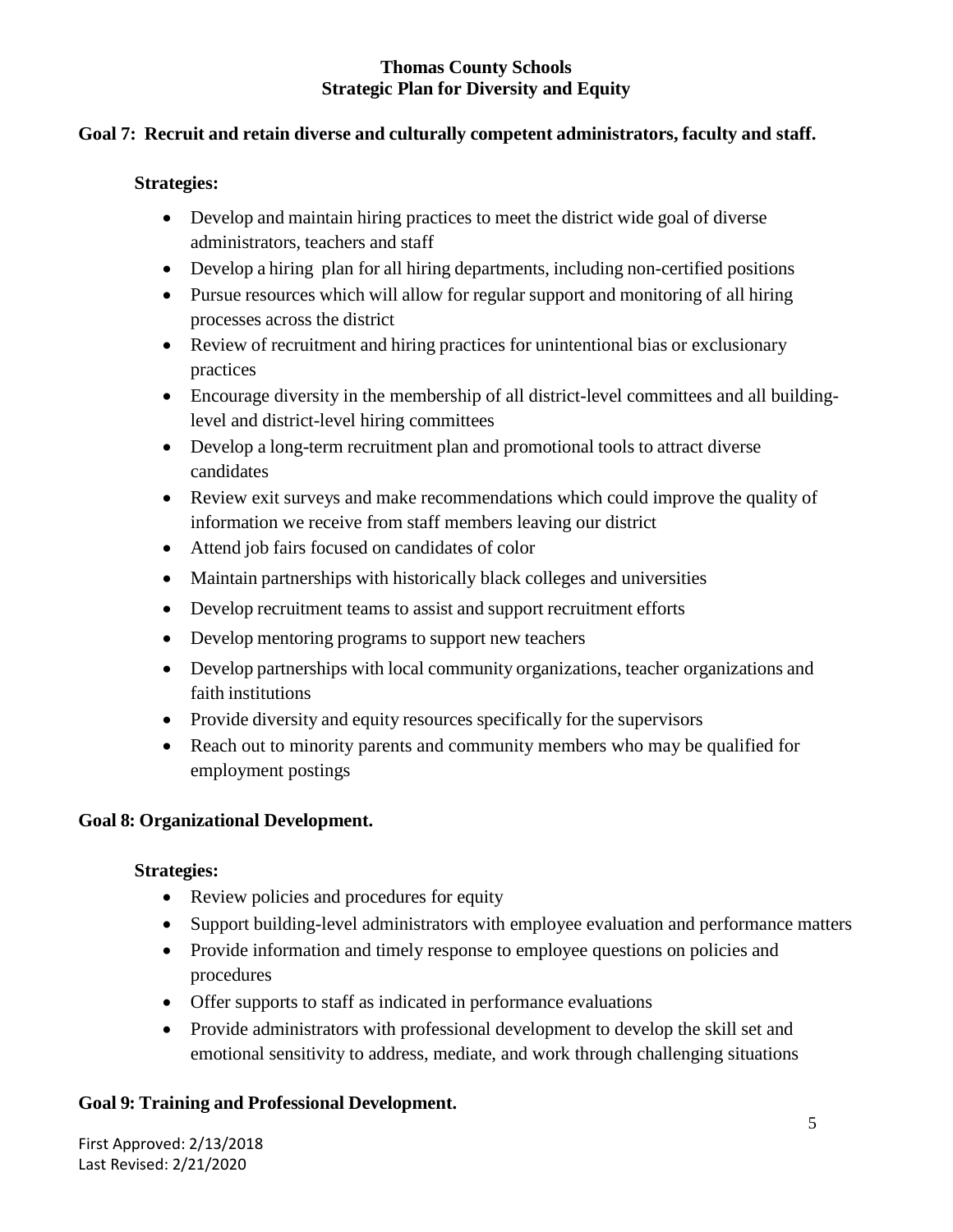#### **Goal 7: Recruit and retain diverse and culturally competent administrators, faculty and staff.**

#### **Strategies:**

- Develop and maintain hiring practices to meet the district wide goal of diverse administrators, teachers and staff
- Develop a hiring plan for all hiring departments, including non-certified positions
- Pursue resources which will allow for regular support and monitoring of all hiring processes across the district
- Review of recruitment and hiring practices for unintentional bias or exclusionary practices
- Encourage diversity in the membership of all district-level committees and all buildinglevel and district-level hiring committees
- Develop a long-term recruitment plan and promotional tools to attract diverse candidates
- Review exit surveys and make recommendations which could improve the quality of information we receive from staff members leaving our district
- Attend job fairs focused on candidates of color
- Maintain partnerships with historically black colleges and universities
- Develop recruitment teams to assist and support recruitment efforts
- Develop mentoring programs to support new teachers
- Develop partnerships with local community organizations, teacher organizations and faith institutions
- Provide diversity and equity resources specifically for the supervisors
- Reach out to minority parents and community members who may be qualified for employment postings

#### **Goal 8: Organizational Development.**

#### **Strategies:**

- Review policies and procedures for equity
- Support building-level administrators with employee evaluation and performance matters
- Provide information and timely response to employee questions on policies and procedures
- Offer supports to staff as indicated in performance evaluations
- Provide administrators with professional development to develop the skill set and emotional sensitivity to address, mediate, and work through challenging situations

#### **Goal 9: Training and Professional Development.**

First Approved: 2/13/2018 Last Revised: 2/21/2020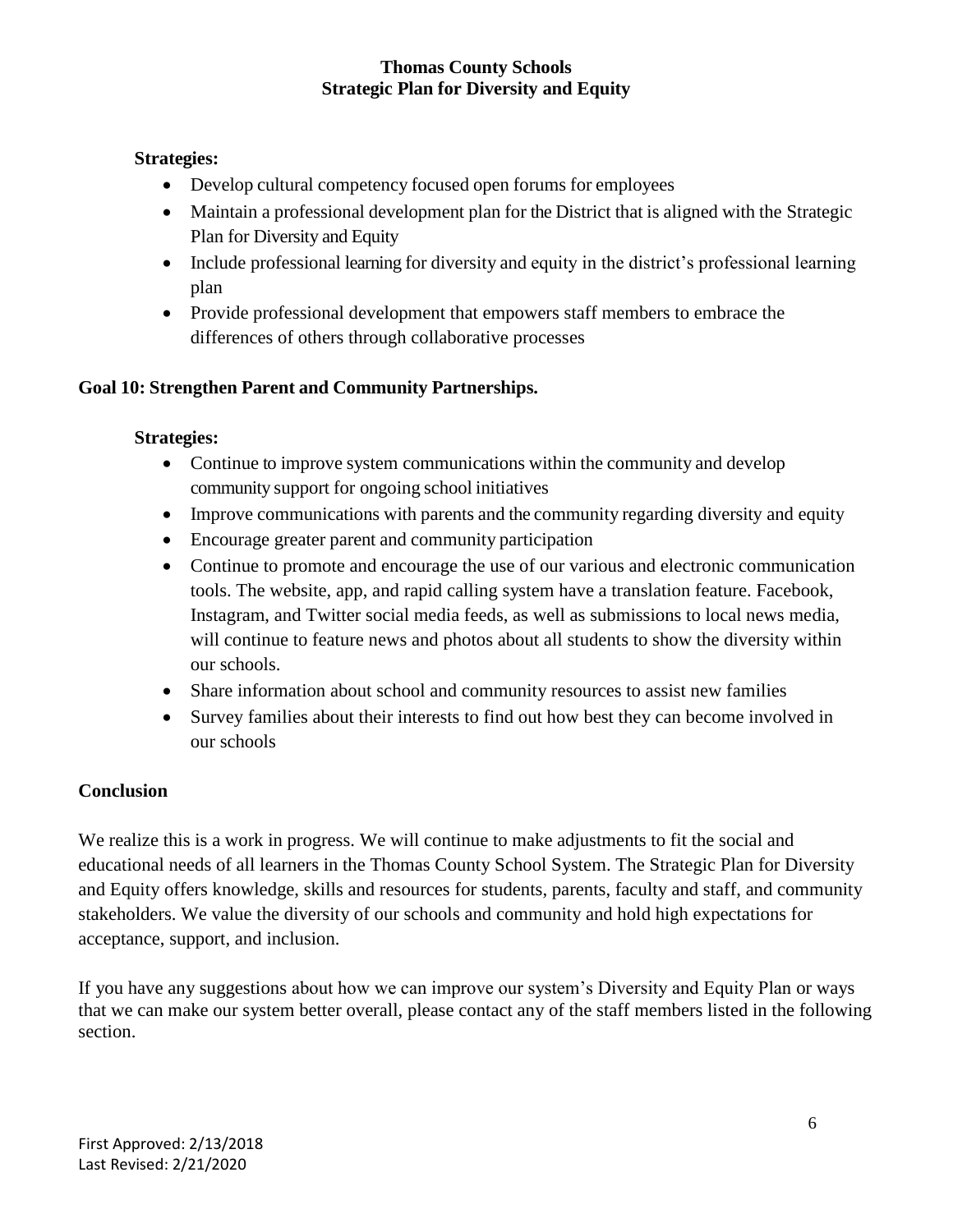#### **Strategies:**

- Develop cultural competency focused open forums for employees
- Maintain a professional development plan for the District that is aligned with the Strategic Plan for Diversity and Equity
- Include professional learning for diversity and equity in the district's professional learning plan
- Provide professional development that empowers staff members to embrace the differences of others through collaborative processes

# **Goal 10: Strengthen Parent and Community Partnerships.**

#### **Strategies:**

- Continue to improve system communications within the community and develop community support for ongoing school initiatives
- Improve communications with parents and the community regarding diversity and equity
- Encourage greater parent and community participation
- Continue to promote and encourage the use of our various and electronic communication tools. The website, app, and rapid calling system have a translation feature. Facebook, Instagram, and Twitter social media feeds, as well as submissions to local news media, will continue to feature news and photos about all students to show the diversity within our schools.
- Share information about school and community resources to assist new families
- Survey families about their interests to find out how best they can become involved in our schools

# **Conclusion**

We realize this is a work in progress. We will continue to make adjustments to fit the social and educational needs of all learners in the Thomas County School System. The Strategic Plan for Diversity and Equity offers knowledge, skills and resources for students, parents, faculty and staff, and community stakeholders. We value the diversity of our schools and community and hold high expectations for acceptance, support, and inclusion.

If you have any suggestions about how we can improve our system's Diversity and Equity Plan or ways that we can make our system better overall, please contact any of the staff members listed in the following section.